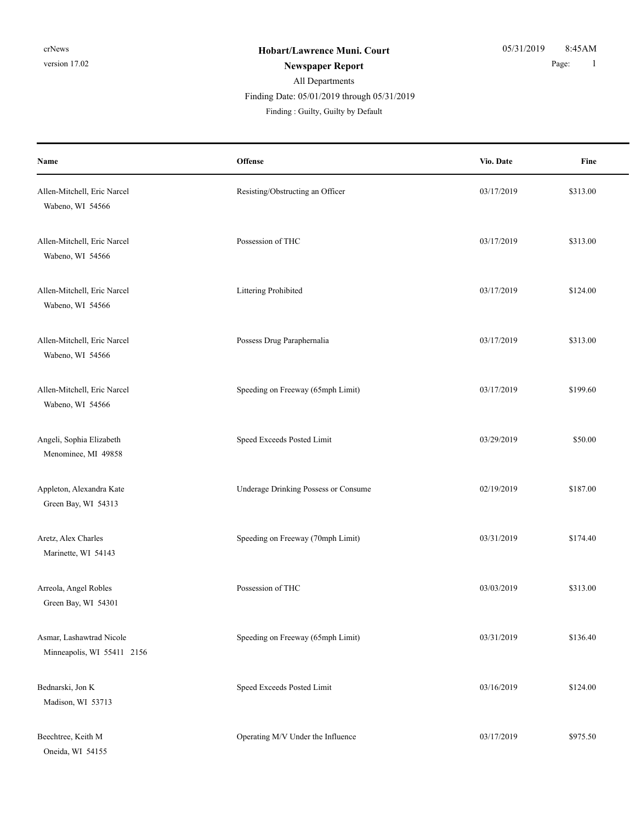| Name                                                   | Offense                              | Vio. Date  | Fine     |
|--------------------------------------------------------|--------------------------------------|------------|----------|
| Allen-Mitchell, Eric Narcel<br>Wabeno, WI 54566        | Resisting/Obstructing an Officer     | 03/17/2019 | \$313.00 |
| Allen-Mitchell, Eric Narcel<br>Wabeno, WI 54566        | Possession of THC                    | 03/17/2019 | \$313.00 |
| Allen-Mitchell, Eric Narcel<br>Wabeno, WI 54566        | Littering Prohibited                 | 03/17/2019 | \$124.00 |
| Allen-Mitchell, Eric Narcel<br>Wabeno, WI 54566        | Possess Drug Paraphernalia           | 03/17/2019 | \$313.00 |
| Allen-Mitchell, Eric Narcel<br>Wabeno, WI 54566        | Speeding on Freeway (65mph Limit)    | 03/17/2019 | \$199.60 |
| Angeli, Sophia Elizabeth<br>Menominee, MI 49858        | Speed Exceeds Posted Limit           | 03/29/2019 | \$50.00  |
| Appleton, Alexandra Kate<br>Green Bay, WI 54313        | Underage Drinking Possess or Consume | 02/19/2019 | \$187.00 |
| Aretz, Alex Charles<br>Marinette, WI 54143             | Speeding on Freeway (70mph Limit)    | 03/31/2019 | \$174.40 |
| Arreola, Angel Robles<br>Green Bay, WI 54301           | Possession of THC                    | 03/03/2019 | \$313.00 |
| Asmar, Lashawtrad Nicole<br>Minneapolis, WI 55411 2156 | Speeding on Freeway (65mph Limit)    | 03/31/2019 | \$136.40 |
| Bednarski, Jon K<br>Madison, WI 53713                  | Speed Exceeds Posted Limit           | 03/16/2019 | \$124.00 |
| Beechtree, Keith M<br>Oneida, WI 54155                 | Operating M/V Under the Influence    | 03/17/2019 | \$975.50 |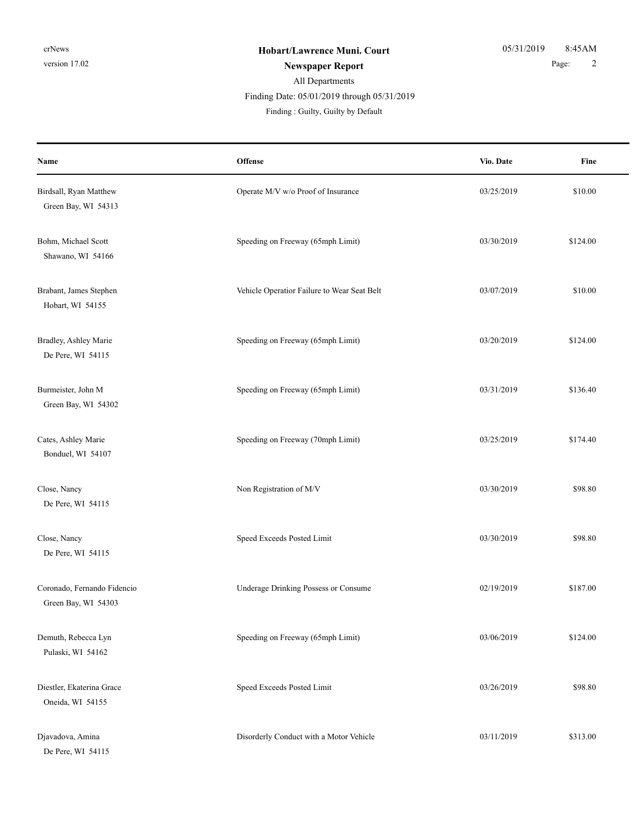| Name                                               | Offense                                     | Vio. Date  | Fine     |
|----------------------------------------------------|---------------------------------------------|------------|----------|
| Birdsall, Ryan Matthew<br>Green Bay, WI 54313      | Operate M/V w/o Proof of Insurance          | 03/25/2019 | \$10.00  |
| Bohm, Michael Scott<br>Shawano, WI 54166           | Speeding on Freeway (65mph Limit)           | 03/30/2019 | \$124.00 |
| Brabant, James Stephen<br>Hobart, WI 54155         | Vehicle Operatior Failure to Wear Seat Belt | 03/07/2019 | \$10.00  |
| Bradley, Ashley Marie<br>De Pere, WI 54115         | Speeding on Freeway (65mph Limit)           | 03/20/2019 | \$124.00 |
| Burmeister, John M<br>Green Bay, WI 54302          | Speeding on Freeway (65mph Limit)           | 03/31/2019 | \$136.40 |
| Cates, Ashley Marie<br>Bonduel, WI 54107           | Speeding on Freeway (70mph Limit)           | 03/25/2019 | \$174.40 |
| Close, Nancy<br>De Pere, WI 54115                  | Non Registration of M/V                     | 03/30/2019 | \$98.80  |
| Close, Nancy<br>De Pere, WI 54115                  | Speed Exceeds Posted Limit                  | 03/30/2019 | \$98.80  |
| Coronado, Fernando Fidencio<br>Green Bay, WI 54303 | Underage Drinking Possess or Consume        | 02/19/2019 | \$187.00 |
| Demuth, Rebecca Lyn<br>Pulaski, WI 54162           | Speeding on Freeway (65mph Limit)           | 03/06/2019 | \$124.00 |
| Diestler, Ekaterina Grace<br>Oneida, WI 54155      | Speed Exceeds Posted Limit                  | 03/26/2019 | \$98.80  |
| Djavadova, Amina<br>De Pere, WI 54115              | Disorderly Conduct with a Motor Vehicle     | 03/11/2019 | \$313.00 |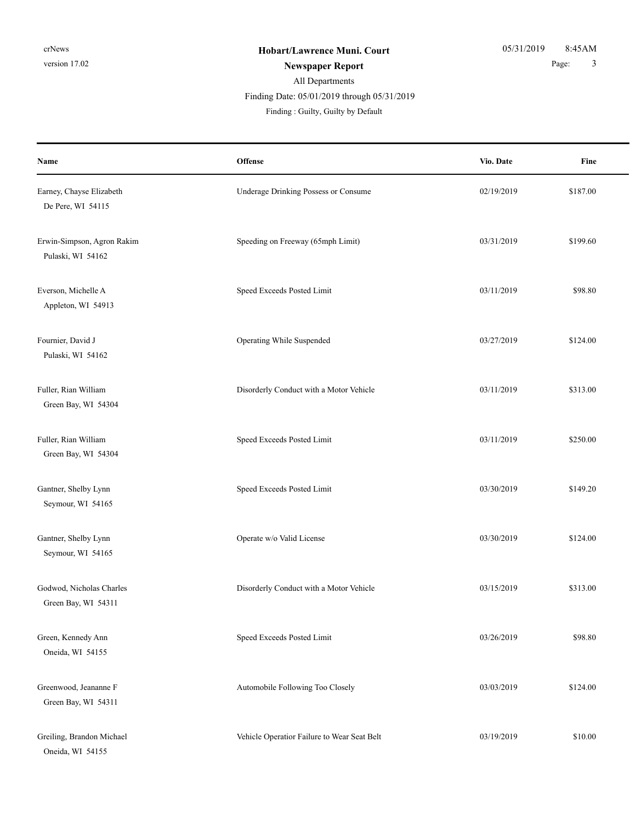| Name                                            | Offense                                     | Vio. Date  | Fine     |
|-------------------------------------------------|---------------------------------------------|------------|----------|
| Earney, Chayse Elizabeth<br>De Pere, WI 54115   | Underage Drinking Possess or Consume        | 02/19/2019 | \$187.00 |
| Erwin-Simpson, Agron Rakim<br>Pulaski, WI 54162 | Speeding on Freeway (65mph Limit)           | 03/31/2019 | \$199.60 |
| Everson, Michelle A<br>Appleton, WI 54913       | Speed Exceeds Posted Limit                  | 03/11/2019 | \$98.80  |
| Fournier, David J<br>Pulaski, WI 54162          | Operating While Suspended                   | 03/27/2019 | \$124.00 |
| Fuller, Rian William<br>Green Bay, WI 54304     | Disorderly Conduct with a Motor Vehicle     | 03/11/2019 | \$313.00 |
| Fuller, Rian William<br>Green Bay, WI 54304     | Speed Exceeds Posted Limit                  | 03/11/2019 | \$250.00 |
| Gantner, Shelby Lynn<br>Seymour, WI 54165       | Speed Exceeds Posted Limit                  | 03/30/2019 | \$149.20 |
| Gantner, Shelby Lynn<br>Seymour, WI 54165       | Operate w/o Valid License                   | 03/30/2019 | \$124.00 |
| Godwod, Nicholas Charles<br>Green Bay, WI 54311 | Disorderly Conduct with a Motor Vehicle     | 03/15/2019 | \$313.00 |
| Green, Kennedy Ann<br>Oneida, WI 54155          | Speed Exceeds Posted Limit                  | 03/26/2019 | \$98.80  |
| Greenwood, Jeananne F<br>Green Bay, WI 54311    | Automobile Following Too Closely            | 03/03/2019 | \$124.00 |
| Greiling, Brandon Michael<br>Oneida, WI 54155   | Vehicle Operatior Failure to Wear Seat Belt | 03/19/2019 | \$10.00  |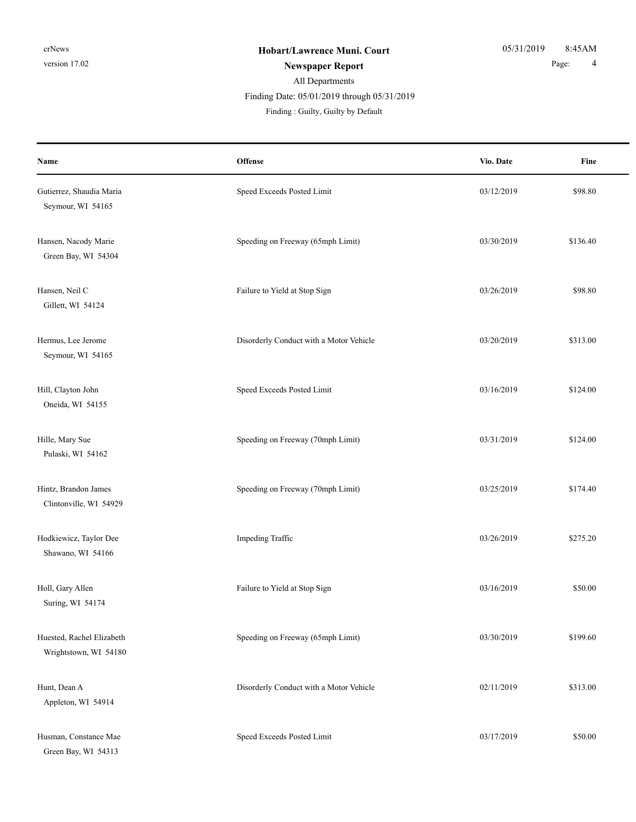**Offense** Fine **Name Vio. Date** Gutierrez, Shaudia Maria **Speed Exceeds Posted Limit** 63/12/2019 \$98.80 Seymour, WI 54165 Hansen, Nacody Marie Speeding on Freeway (65mph Limit) 03/30/2019 \$136.40 Green Bay, WI 54304 Hansen, Neil C 598.80 Gillett, WI 54124 Hermus, Lee Jerome **Disorderly Conduct with a Motor Vehicle** 03/20/2019 \$313.00 Seymour, WI 54165 Hill, Clayton John Speed Exceeds Posted Limit 03/16/2019 \$124.00 Oneida, WI 54155 Hille, Mary Sue Speeding on Freeway (70mph Limit) 03/31/2019 \$124.00 Pulaski, WI 54162 Hintz, Brandon James Speeding on Freeway (70mph Limit) 03/25/2019 \$174.40 Clintonville, WI 54929 Hodkiewicz, Taylor Dee **Impeding Traffic** 5275.20<br>
Impeding Traffic 63/26/2019 \$275.20 Shawano, WI 54166 Holl, Gary Allen \$50.00 Failure to Yield at Stop Sign 03/16/2019 \$50.00 Suring, WI 54174 Huested, Rachel Elizabeth Speeding on Freeway (65mph Limit) 03/30/2019 \$199.60 Wrightstown, WI 54180 Hunt, Dean A **Disorderly Conduct with a Motor Vehicle** 02/11/2019 \$313.00 Appleton, WI 54914 Husman, Constance Mae Speed Exceeds Posted Limit 03/17/2019 \$50.00 Green Bay, WI 54313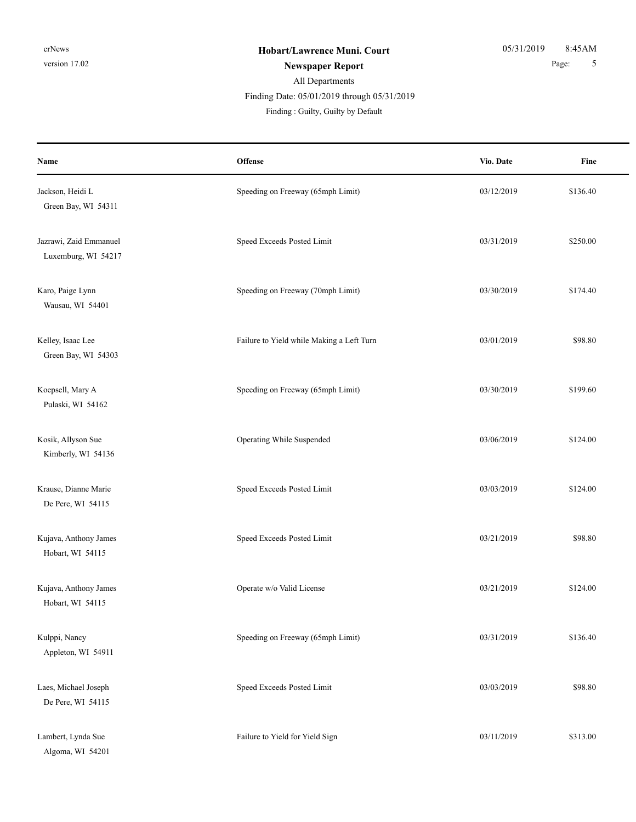| Name                                          | Offense                                   | Vio. Date  | Fine     |
|-----------------------------------------------|-------------------------------------------|------------|----------|
| Jackson, Heidi L<br>Green Bay, WI 54311       | Speeding on Freeway (65mph Limit)         | 03/12/2019 | \$136.40 |
| Jazrawi, Zaid Emmanuel<br>Luxemburg, WI 54217 | Speed Exceeds Posted Limit                | 03/31/2019 | \$250.00 |
| Karo, Paige Lynn<br>Wausau, WI 54401          | Speeding on Freeway (70mph Limit)         | 03/30/2019 | \$174.40 |
| Kelley, Isaac Lee<br>Green Bay, WI 54303      | Failure to Yield while Making a Left Turn | 03/01/2019 | \$98.80  |
| Koepsell, Mary A<br>Pulaski, WI 54162         | Speeding on Freeway (65mph Limit)         | 03/30/2019 | \$199.60 |
| Kosik, Allyson Sue<br>Kimberly, WI 54136      | Operating While Suspended                 | 03/06/2019 | \$124.00 |
| Krause, Dianne Marie<br>De Pere, WI 54115     | Speed Exceeds Posted Limit                | 03/03/2019 | \$124.00 |
| Kujava, Anthony James<br>Hobart, WI 54115     | Speed Exceeds Posted Limit                | 03/21/2019 | \$98.80  |
| Kujava, Anthony James<br>Hobart, WI 54115     | Operate w/o Valid License                 | 03/21/2019 | \$124.00 |
| Kulppi, Nancy<br>Appleton, WI 54911           | Speeding on Freeway (65mph Limit)         | 03/31/2019 | \$136.40 |
| Laes, Michael Joseph<br>De Pere, WI 54115     | Speed Exceeds Posted Limit                | 03/03/2019 | \$98.80  |
| Lambert, Lynda Sue<br>Algoma, WI 54201        | Failure to Yield for Yield Sign           | 03/11/2019 | \$313.00 |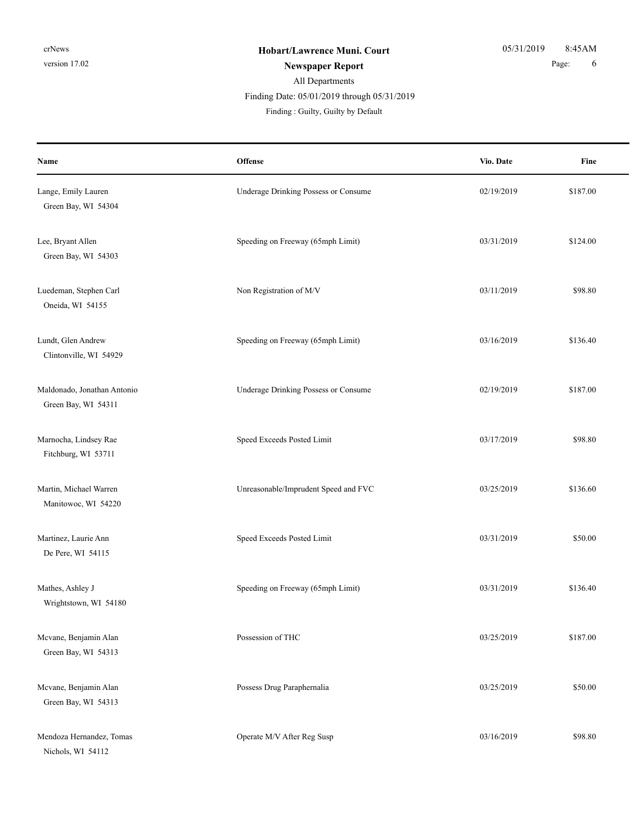| Name                                               | Offense                              | Vio. Date  | Fine     |
|----------------------------------------------------|--------------------------------------|------------|----------|
| Lange, Emily Lauren<br>Green Bay, WI 54304         | Underage Drinking Possess or Consume | 02/19/2019 | \$187.00 |
| Lee, Bryant Allen<br>Green Bay, WI 54303           | Speeding on Freeway (65mph Limit)    | 03/31/2019 | \$124.00 |
| Luedeman, Stephen Carl<br>Oneida, WI 54155         | Non Registration of M/V              | 03/11/2019 | \$98.80  |
| Lundt, Glen Andrew<br>Clintonville, WI 54929       | Speeding on Freeway (65mph Limit)    | 03/16/2019 | \$136.40 |
| Maldonado, Jonathan Antonio<br>Green Bay, WI 54311 | Underage Drinking Possess or Consume | 02/19/2019 | \$187.00 |
| Marnocha, Lindsey Rae<br>Fitchburg, WI 53711       | Speed Exceeds Posted Limit           | 03/17/2019 | \$98.80  |
| Martin, Michael Warren<br>Manitowoc, WI 54220      | Unreasonable/Imprudent Speed and FVC | 03/25/2019 | \$136.60 |
| Martinez, Laurie Ann<br>De Pere, WI 54115          | Speed Exceeds Posted Limit           | 03/31/2019 | \$50.00  |
| Mathes, Ashley J<br>Wrightstown, WI 54180          | Speeding on Freeway (65mph Limit)    | 03/31/2019 | \$136.40 |
| Mcvane, Benjamin Alan<br>Green Bay, WI 54313       | Possession of THC                    | 03/25/2019 | \$187.00 |
| Mcvane, Benjamin Alan<br>Green Bay, WI 54313       | Possess Drug Paraphernalia           | 03/25/2019 | \$50.00  |
| Mendoza Hernandez, Tomas<br>Nichols, WI 54112      | Operate M/V After Reg Susp           | 03/16/2019 | \$98.80  |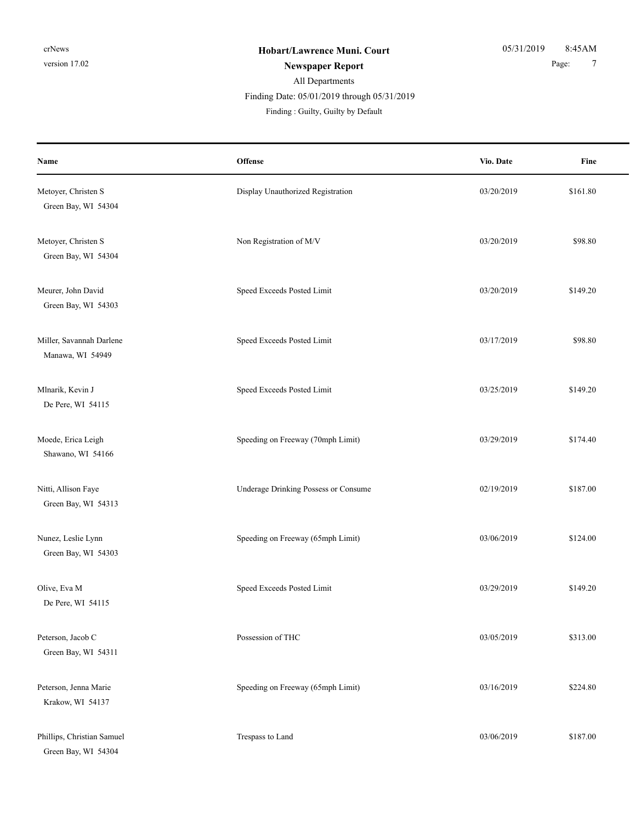| Name                                              | Offense                              | Vio. Date  | Fine     |
|---------------------------------------------------|--------------------------------------|------------|----------|
| Metoyer, Christen S<br>Green Bay, WI 54304        | Display Unauthorized Registration    | 03/20/2019 | \$161.80 |
| Metoyer, Christen S<br>Green Bay, WI 54304        | Non Registration of M/V              | 03/20/2019 | \$98.80  |
| Meurer, John David<br>Green Bay, WI 54303         | Speed Exceeds Posted Limit           | 03/20/2019 | \$149.20 |
| Miller, Savannah Darlene<br>Manawa, WI 54949      | Speed Exceeds Posted Limit           | 03/17/2019 | \$98.80  |
| Mlnarik, Kevin J<br>De Pere, WI 54115             | Speed Exceeds Posted Limit           | 03/25/2019 | \$149.20 |
| Moede, Erica Leigh<br>Shawano, WI 54166           | Speeding on Freeway (70mph Limit)    | 03/29/2019 | \$174.40 |
| Nitti, Allison Faye<br>Green Bay, WI 54313        | Underage Drinking Possess or Consume | 02/19/2019 | \$187.00 |
| Nunez, Leslie Lynn<br>Green Bay, WI 54303         | Speeding on Freeway (65mph Limit)    | 03/06/2019 | \$124.00 |
| Olive, Eva M<br>De Pere, WI 54115                 | Speed Exceeds Posted Limit           | 03/29/2019 | \$149.20 |
| Peterson, Jacob C<br>Green Bay, WI 54311          | Possession of THC                    | 03/05/2019 | \$313.00 |
| Peterson, Jenna Marie<br>Krakow, WI 54137         | Speeding on Freeway (65mph Limit)    | 03/16/2019 | \$224.80 |
| Phillips, Christian Samuel<br>Green Bay, WI 54304 | Trespass to Land                     | 03/06/2019 | \$187.00 |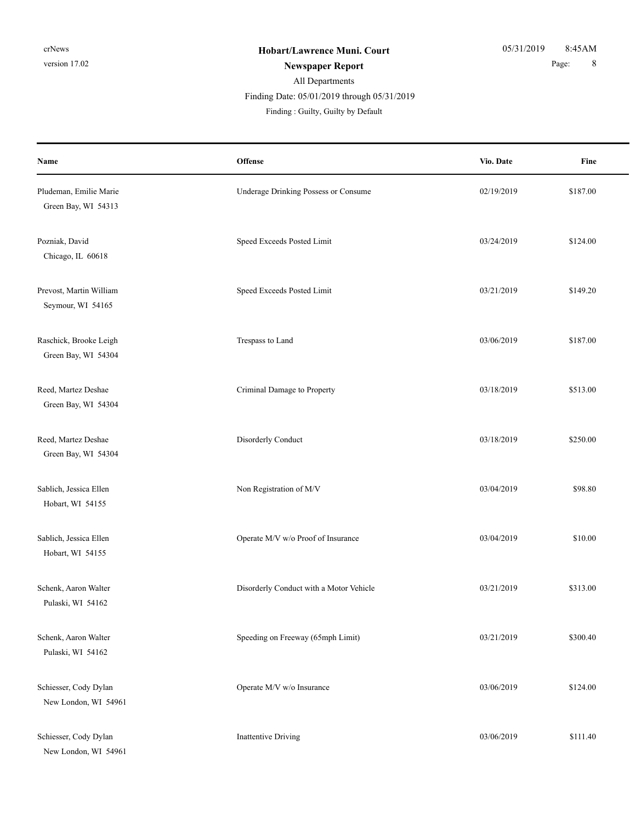**Offense** Fine **Name Vio. Date** Pludeman, Emilie Marie 187.00 Consume Underage Drinking Possess or Consume 02/19/2019 \$187.00 Green Bay, WI 54313 Pozniak, David Speed Exceeds Posted Limit 03/24/2019 \$124.00 Chicago, IL 60618 Prevost, Martin William Speed Exceeds Posted Limit 03/21/2019 \$149.20 Seymour, WI 54165 Raschick, Brooke Leigh **Trespass to Land** 03/06/2019 \$187.00 Green Bay, WI 54304 Reed, Martez Deshae S513.00 Criminal Damage to Property 03/18/2019 \$513.00 Green Bay, WI 54304 Reed, Martez Deshae **Disorderly Conduct** Disorderly Conduct 03/18/2019 \$250.00 Green Bay, WI 54304 Sablich, Jessica Ellen Solution of M/V 03/04/2019 \$98.80 Hobart, WI 54155 Sablich, Jessica Ellen Sablich, Jessica Ellen Sablich, Jessica Ellen Sablich, Jessica Ellen Sablich, Jessica Ellen Sablich, Jessica Ellen Sablich, Jessica Ellen Sablich, Jessica Ellen Sablich, Jessica Ellen Sablich, Jessic Hobart, WI 54155 Schenk, Aaron Walter **Disorderly Conduct with a Motor Vehicle** 03/21/2019 \$313.00 Pulaski, WI 54162 Schenk, Aaron Walter Speeding on Freeway (65mph Limit) 03/21/2019 \$300.40 Pulaski, WI 54162 Schiesser, Cody Dylan **Operate M/V w/o Insurance** 03/06/2019 \$124.00 New London, WI 54961 Schiesser, Cody Dylan **Inattentive Driving** 03/06/2019 \$111.40 New London, WI 54961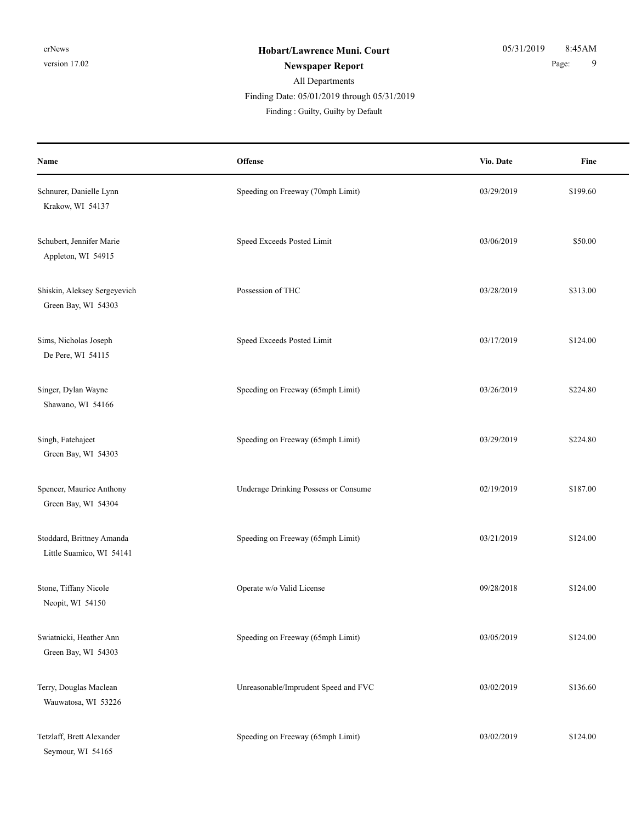| Name                                                  | Offense                              | Vio. Date  | Fine     |
|-------------------------------------------------------|--------------------------------------|------------|----------|
| Schnurer, Danielle Lynn<br>Krakow, WI 54137           | Speeding on Freeway (70mph Limit)    | 03/29/2019 | \$199.60 |
| Schubert, Jennifer Marie<br>Appleton, WI 54915        | Speed Exceeds Posted Limit           | 03/06/2019 | \$50.00  |
| Shiskin, Aleksey Sergeyevich<br>Green Bay, WI 54303   | Possession of THC                    | 03/28/2019 | \$313.00 |
| Sims, Nicholas Joseph<br>De Pere, WI 54115            | Speed Exceeds Posted Limit           | 03/17/2019 | \$124.00 |
| Singer, Dylan Wayne<br>Shawano, WI 54166              | Speeding on Freeway (65mph Limit)    | 03/26/2019 | \$224.80 |
| Singh, Fatehajeet<br>Green Bay, WI 54303              | Speeding on Freeway (65mph Limit)    | 03/29/2019 | \$224.80 |
| Spencer, Maurice Anthony<br>Green Bay, WI 54304       | Underage Drinking Possess or Consume | 02/19/2019 | \$187.00 |
| Stoddard, Brittney Amanda<br>Little Suamico, WI 54141 | Speeding on Freeway (65mph Limit)    | 03/21/2019 | \$124.00 |
| Stone, Tiffany Nicole<br>Neopit, WI 54150             | Operate w/o Valid License            | 09/28/2018 | \$124.00 |
| Swiatnicki, Heather Ann<br>Green Bay, WI 54303        | Speeding on Freeway (65mph Limit)    | 03/05/2019 | \$124.00 |
| Terry, Douglas Maclean<br>Wauwatosa, WI 53226         | Unreasonable/Imprudent Speed and FVC | 03/02/2019 | \$136.60 |
| Tetzlaff, Brett Alexander<br>Seymour, WI 54165        | Speeding on Freeway (65mph Limit)    | 03/02/2019 | \$124.00 |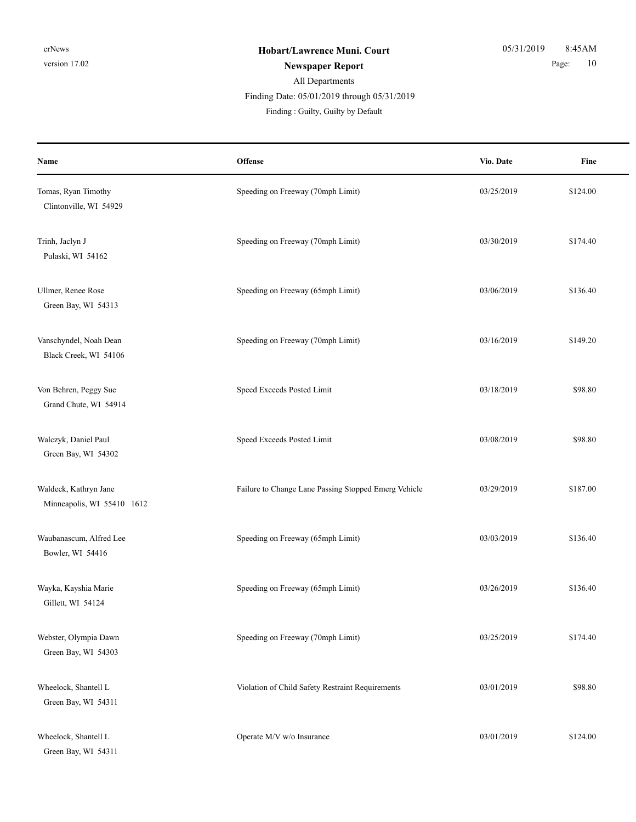## All Departments Finding Date: 05/01/2019 through 05/31/2019

Finding : Guilty, Guilty by Default

| Name                                                | Offense                                              | Vio. Date  | Fine     |
|-----------------------------------------------------|------------------------------------------------------|------------|----------|
| Tomas, Ryan Timothy<br>Clintonville, WI 54929       | Speeding on Freeway (70mph Limit)                    | 03/25/2019 | \$124.00 |
| Trinh, Jaclyn J<br>Pulaski, WI 54162                | Speeding on Freeway (70mph Limit)                    | 03/30/2019 | \$174.40 |
| Ullmer, Renee Rose<br>Green Bay, WI 54313           | Speeding on Freeway (65mph Limit)                    | 03/06/2019 | \$136.40 |
| Vanschyndel, Noah Dean<br>Black Creek, WI 54106     | Speeding on Freeway (70mph Limit)                    | 03/16/2019 | \$149.20 |
| Von Behren, Peggy Sue<br>Grand Chute, WI 54914      | Speed Exceeds Posted Limit                           | 03/18/2019 | \$98.80  |
| Walczyk, Daniel Paul<br>Green Bay, WI 54302         | Speed Exceeds Posted Limit                           | 03/08/2019 | \$98.80  |
| Waldeck, Kathryn Jane<br>Minneapolis, WI 55410 1612 | Failure to Change Lane Passing Stopped Emerg Vehicle | 03/29/2019 | \$187.00 |
| Waubanascum, Alfred Lee<br>Bowler, WI 54416         | Speeding on Freeway (65mph Limit)                    | 03/03/2019 | \$136.40 |
| Wayka, Kayshia Marie<br>Gillett, WI 54124           | Speeding on Freeway (65mph Limit)                    | 03/26/2019 | \$136.40 |
| Webster, Olympia Dawn<br>Green Bay, WI 54303        | Speeding on Freeway (70mph Limit)                    | 03/25/2019 | \$174.40 |
| Wheelock, Shantell L<br>Green Bay, WI 54311         | Violation of Child Safety Restraint Requirements     | 03/01/2019 | \$98.80  |
| Wheelock, Shantell L<br>Green Bay, WI 54311         | Operate M/V w/o Insurance                            | 03/01/2019 | \$124.00 |